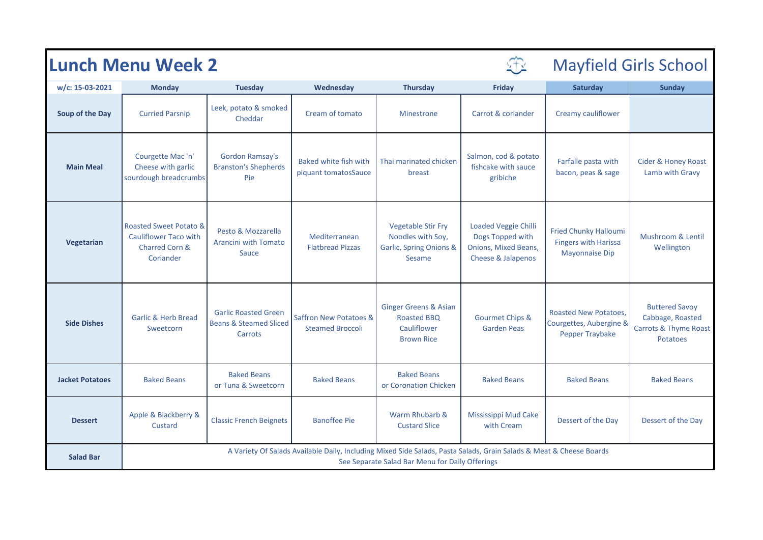| <b>Lunch Menu Week 2</b> |                                                                                                                                                                        |                                                                             |                                                   |                                                                                                |                                                                                               | <b>Mayfield Girls School</b>                                                         |                                                                                                  |  |
|--------------------------|------------------------------------------------------------------------------------------------------------------------------------------------------------------------|-----------------------------------------------------------------------------|---------------------------------------------------|------------------------------------------------------------------------------------------------|-----------------------------------------------------------------------------------------------|--------------------------------------------------------------------------------------|--------------------------------------------------------------------------------------------------|--|
| w/c: 15-03-2021          | <b>Monday</b>                                                                                                                                                          | <b>Tuesday</b>                                                              | Wednesday                                         | <b>Thursday</b>                                                                                | Friday                                                                                        | Saturday                                                                             | <b>Sunday</b>                                                                                    |  |
| Soup of the Day          | <b>Curried Parsnip</b>                                                                                                                                                 | Leek, potato & smoked<br>Cheddar                                            | Cream of tomato                                   | <b>Minestrone</b>                                                                              | Carrot & coriander                                                                            | Creamy cauliflower                                                                   |                                                                                                  |  |
| <b>Main Meal</b>         | Courgette Mac 'n'<br>Cheese with garlic<br>sourdough breadcrumbs                                                                                                       | <b>Gordon Ramsay's</b><br><b>Branston's Shepherds</b><br>Pie                | Baked white fish with<br>piquant tomatosSauce     | Thai marinated chicken<br>breast                                                               | Salmon, cod & potato<br>fishcake with sauce<br>gribiche                                       | Farfalle pasta with<br>bacon, peas & sage                                            | <b>Cider &amp; Honey Roast</b><br>Lamb with Gravy                                                |  |
| Vegetarian               | <b>Roasted Sweet Potato &amp;</b><br><b>Cauliflower Taco with</b><br><b>Charred Corn &amp;</b><br>Coriander                                                            | Pesto & Mozzarella<br><b>Arancini with Tomato</b><br>Sauce                  | Mediterranean<br><b>Flatbread Pizzas</b>          | <b>Vegetable Stir Fry</b><br>Noodles with Soy,<br><b>Garlic, Spring Onions &amp;</b><br>Sesame | <b>Loaded Veggie Chilli</b><br>Dogs Topped with<br>Onions, Mixed Beans,<br>Cheese & Jalapenos | <b>Fried Chunky Halloumi</b><br><b>Fingers with Harissa</b><br><b>Mayonnaise Dip</b> | Mushroom & Lentil<br>Wellington                                                                  |  |
| <b>Side Dishes</b>       | <b>Garlic &amp; Herb Bread</b><br>Sweetcorn                                                                                                                            | <b>Garlic Roasted Green</b><br><b>Beans &amp; Steamed Sliced</b><br>Carrots | Saffron New Potatoes &<br><b>Steamed Broccoli</b> | <b>Ginger Greens &amp; Asian</b><br><b>Roasted BBO</b><br>Cauliflower<br><b>Brown Rice</b>     | <b>Gourmet Chips &amp;</b><br><b>Garden Peas</b>                                              | <b>Roasted New Potatoes,</b><br>Courgettes, Aubergine &<br>Pepper Traybake           | <b>Buttered Savoy</b><br>Cabbage, Roasted<br><b>Carrots &amp; Thyme Roast</b><br><b>Potatoes</b> |  |
| <b>Jacket Potatoes</b>   | <b>Baked Beans</b>                                                                                                                                                     | <b>Baked Beans</b><br>or Tuna & Sweetcorn                                   | <b>Baked Beans</b>                                | <b>Baked Beans</b><br>or Coronation Chicken                                                    | <b>Baked Beans</b>                                                                            | <b>Baked Beans</b>                                                                   | <b>Baked Beans</b>                                                                               |  |
| <b>Dessert</b>           | Apple & Blackberry &<br>Custard                                                                                                                                        | <b>Classic French Beignets</b>                                              | <b>Banoffee Pie</b>                               | Warm Rhubarb &<br><b>Custard Slice</b>                                                         | <b>Mississippi Mud Cake</b><br>with Cream                                                     | Dessert of the Day                                                                   | Dessert of the Day                                                                               |  |
| <b>Salad Bar</b>         | A Variety Of Salads Available Daily, Including Mixed Side Salads, Pasta Salads, Grain Salads & Meat & Cheese Boards<br>See Separate Salad Bar Menu for Daily Offerings |                                                                             |                                                   |                                                                                                |                                                                                               |                                                                                      |                                                                                                  |  |